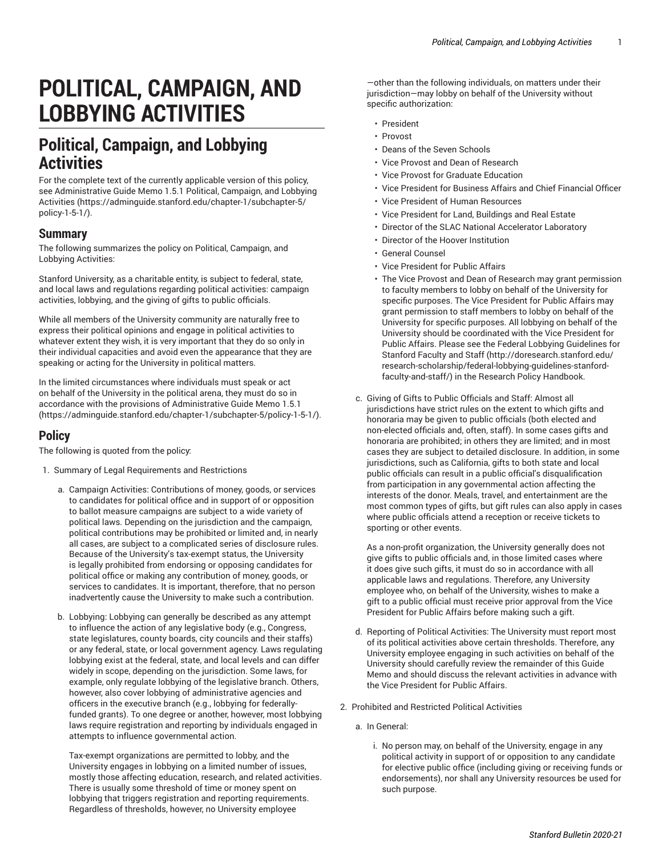## **POLITICAL, CAMPAIGN, AND LOBBYING ACTIVITIES**

## **Political, Campaign, and Lobbying Activities**

For the complete text of the currently applicable version of this policy, see Administrative Guide Memo 1.5.1 Political, [Campaign,](https://adminguide.stanford.edu/chapter-1/subchapter-5/policy-1-5-1/) and Lobbying [Activities](https://adminguide.stanford.edu/chapter-1/subchapter-5/policy-1-5-1/) [\(https://adminguide.stanford.edu/chapter-1/subchapter-5/](https://adminguide.stanford.edu/chapter-1/subchapter-5/policy-1-5-1/) [policy-1-5-1/\)](https://adminguide.stanford.edu/chapter-1/subchapter-5/policy-1-5-1/).

## **Summary**

The following summarizes the policy on Political, Campaign, and Lobbying Activities:

Stanford University, as a charitable entity, is subject to federal, state, and local laws and regulations regarding political activities: campaign activities, lobbying, and the giving of gifts to public officials.

While all members of the University community are naturally free to express their political opinions and engage in political activities to whatever extent they wish, it is very important that they do so only in their individual capacities and avoid even the appearance that they are speaking or acting for the University in political matters.

In the limited circumstances where individuals must speak or act on behalf of the University in the political arena, they must do so in accordance with the provisions of [Administrative](https://adminguide.stanford.edu/chapter-1/subchapter-5/policy-1-5-1/) Guide Memo 1.5.1 ([https://adminguide.stanford.edu/chapter-1/subchapter-5/policy-1-5-1/\)](https://adminguide.stanford.edu/chapter-1/subchapter-5/policy-1-5-1/).

## **Policy**

The following is quoted from the policy:

- 1. Summary of Legal Requirements and Restrictions
	- a. Campaign Activities: Contributions of money, goods, or services to candidates for political office and in support of or opposition to ballot measure campaigns are subject to a wide variety of political laws. Depending on the jurisdiction and the campaign, political contributions may be prohibited or limited and, in nearly all cases, are subject to a complicated series of disclosure rules. Because of the University's tax-exempt status, the University is legally prohibited from endorsing or opposing candidates for political office or making any contribution of money, goods, or services to candidates. It is important, therefore, that no person inadvertently cause the University to make such a contribution.
	- b. Lobbying: Lobbying can generally be described as any attempt to influence the action of any legislative body (e.g., Congress, state legislatures, county boards, city councils and their staffs) or any federal, state, or local government agency. Laws regulating lobbying exist at the federal, state, and local levels and can differ widely in scope, depending on the jurisdiction. Some laws, for example, only regulate lobbying of the legislative branch. Others, however, also cover lobbying of administrative agencies and officers in the executive branch (e.g., lobbying for federallyfunded grants). To one degree or another, however, most lobbying laws require registration and reporting by individuals engaged in attempts to influence governmental action.

Tax-exempt organizations are permitted to lobby, and the University engages in lobbying on a limited number of issues, mostly those affecting education, research, and related activities. There is usually some threshold of time or money spent on lobbying that triggers registration and reporting requirements. Regardless of thresholds, however, no University employee

—other than the following individuals, on matters under their jurisdiction—may lobby on behalf of the University without specific authorization:

- President
- Provost
- Deans of the Seven Schools
- Vice Provost and Dean of Research
- Vice Provost for Graduate Education
- Vice President for Business Affairs and Chief Financial Officer
- Vice President of Human Resources
- Vice President for Land, Buildings and Real Estate
- Director of the SLAC National Accelerator Laboratory
- Director of the Hoover Institution
- General Counsel
- Vice President for Public Affairs
- The Vice Provost and Dean of Research may grant permission to faculty members to lobby on behalf of the University for specific purposes. The Vice President for Public Affairs may grant permission to staff members to lobby on behalf of the University for specific purposes. All lobbying on behalf of the University should be coordinated with the Vice President for Public Affairs. Please see the Federal Lobbying [Guidelines](http://doresearch.stanford.edu/research-scholarship/federal-lobbying-guidelines-stanford-faculty-and-staff/) for [Stanford](http://doresearch.stanford.edu/research-scholarship/federal-lobbying-guidelines-stanford-faculty-and-staff/) Faculty and Staff ([http://doresearch.stanford.edu/](http://doresearch.stanford.edu/research-scholarship/federal-lobbying-guidelines-stanford-faculty-and-staff/) [research-scholarship/federal-lobbying-guidelines-stanford](http://doresearch.stanford.edu/research-scholarship/federal-lobbying-guidelines-stanford-faculty-and-staff/)[faculty-and-staff/](http://doresearch.stanford.edu/research-scholarship/federal-lobbying-guidelines-stanford-faculty-and-staff/)) in the Research Policy Handbook.
- c. Giving of Gifts to Public Officials and Staff: Almost all jurisdictions have strict rules on the extent to which gifts and honoraria may be given to public officials (both elected and non-elected officials and, often, staff). In some cases gifts and honoraria are prohibited; in others they are limited; and in most cases they are subject to detailed disclosure. In addition, in some jurisdictions, such as California, gifts to both state and local public officials can result in a public official's disqualification from participation in any governmental action affecting the interests of the donor. Meals, travel, and entertainment are the most common types of gifts, but gift rules can also apply in cases where public officials attend a reception or receive tickets to sporting or other events.

As a non-profit organization, the University generally does not give gifts to public officials and, in those limited cases where it does give such gifts, it must do so in accordance with all applicable laws and regulations. Therefore, any University employee who, on behalf of the University, wishes to make a gift to a public official must receive prior approval from the Vice President for Public Affairs before making such a gift.

- d. Reporting of Political Activities: The University must report most of its political activities above certain thresholds. Therefore, any University employee engaging in such activities on behalf of the University should carefully review the remainder of this Guide Memo and should discuss the relevant activities in advance with the Vice President for Public Affairs.
- 2. Prohibited and Restricted Political Activities
	- a. In General:
		- i. No person may, on behalf of the University, engage in any political activity in support of or opposition to any candidate for elective public office (including giving or receiving funds or endorsements), nor shall any University resources be used for such purpose.